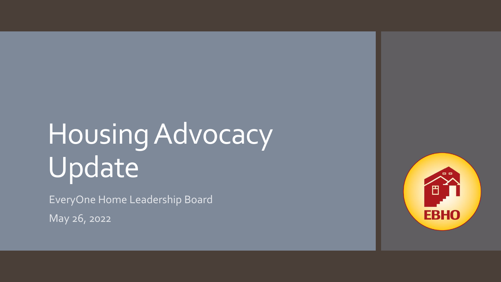### Housing Advocacy Update

EveryOne Home Leadership Board

May 26, 2022

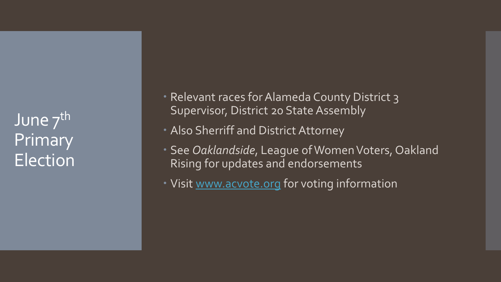June 7<sup>th</sup> Primary Election  Relevant races for Alameda County District 3 Supervisor, District 20 State Assembly

Also Sherriff and District Attorney

 See *Oaklandside*, League of Women Voters, Oakland Rising for updates and endorsements

• Visit [www.acvote.org](http://www.acvote.org/) for voting information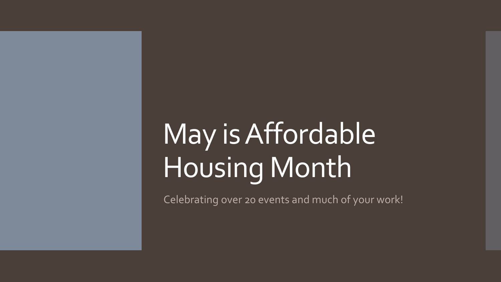## May is Affordable Housing Month

Celebrating over 20 events and much of your work!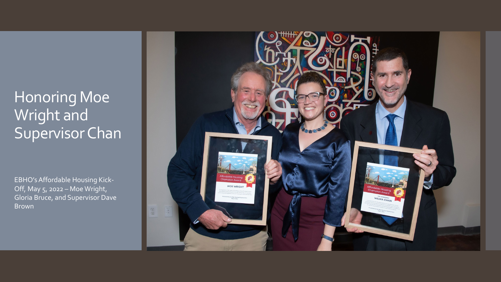#### Honoring Moe Wright and Supervisor Chan

EBHO's Affordable Housing Kick-Off, May 5, 2022 – Moe Wright, Gloria Bruce, and Supervisor Dave Brown

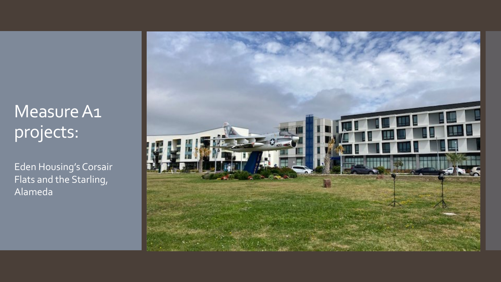### Measure A1 projects:

Eden Housing's Corsair Flats and the Starling, Alameda

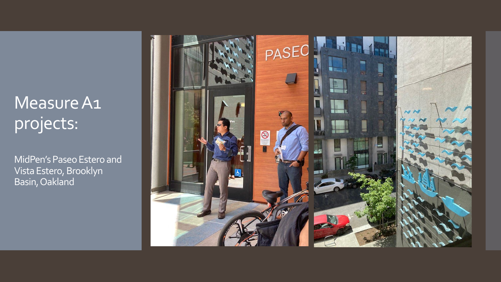#### Measure A1 projects:

MidPen's Paseo Estero and Vista Estero, Brooklyn Basin, Oakland

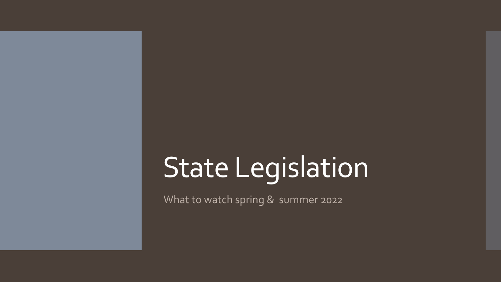# State Legislation

What to watch spring & summer 2022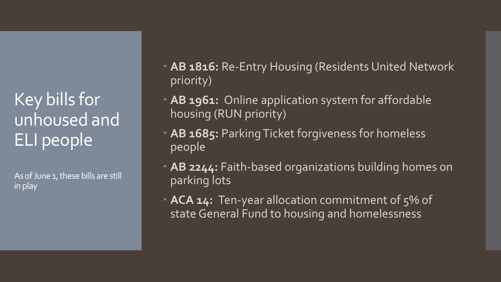Key bills for unhoused and ELI people

As of June 1, these bills are still in play

- **AB 1816: Re-Entry Housing (Residents United Network** priority)
- **AB 1961:** Online application system for affordable housing (RUN priority)
- **AB 1685:** Parking Ticket forgiveness for homeless people
- **AB 2244:** Faith-based organizations building homes on parking lots
- **ACA 14:** Ten-year allocation commitment of 5% of state General Fund to housing and homelessness